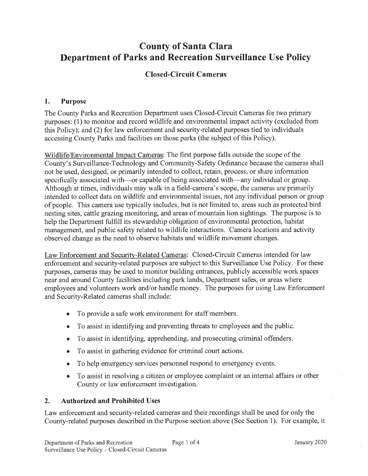# County of Santa Clara Department of Parks and Recreation Surveillance Use Policy

## Closed-Circuit C ameras

#### 1. Purpose

The County Parks and Recreation Department uses Closed-Circuit Cameras for two primary purposes: (1) to monitor and record wildlife and environmental impact activity (excluded from this Policy); and (2) for law enforcement and security-related purposes tied to individuals accessing County Parks and facilities on those parks (the subject of this Policy).

Wildlife/Environmental Impact Cameras: The first purpose falls outside the scope of the County's Surveillance-Technology and Community-Safety Ordinance because the cameras shall not be used, designed, or primarily intended to collect, retain, process, or share information specifically associated with—or capable of being associated with—any individual or group. Although at times, individuals may walk in a field-camera's scope, the cameras are primarily intended to collect data on wildlife and environmental issues, not any individual person or group of people. This camera use typically includes, but is not limited to, areas such as protected bird nesting sites, cattle grazing monitoring, and areas of mountain lion sightings. The purpose is to help the Department fulfill its stewardship obligation of environmental protection, habitat management, and public safety related to wildlife interactions. Camera locations and activity observed change as the need to observe habitats and wildlife movement changes.

Law Enforcement and Security-Related Cameras: Closed-Circuit Cameras intended for law enforcement and security-related purposes are subject to this Surveillance Use Policy. For these purposes, cameras may be used to monitor building entrances, publicly accessible work spaces near and around County facilities including park lands, Department safes, or areas where employees and volunteers work and/or handle money. The purposes for using Law Enforcement and Security-Related cameras shall include:

- To provide a safe work environment for staff members.
- To assist in identifying and preventing threats to employees and the public.
- To assist in identifying, apprehending, and prosecuting criminal offenders.
- o To assist in gathering evidence for criminal court actions.
- o To help emergency services personnel respond to emergency events.
- o To assist in resolving a citizen or employee complaint or an intemal affairs or other County or law enforcement investigation.

#### 2. Authorized and Prohibited Uses

Law enforcement and security-related cameras and their recordings shall be used for only the County-related purposes described in the Purpose section above (See Section 1). For example, it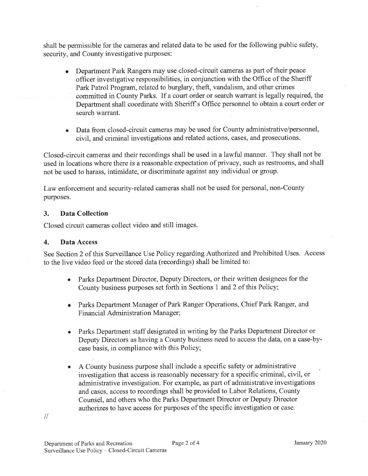shall be permissible for the cameras and related data to be used for the following public safety, security, and County investigative purposes:

- <sup>o</sup> Department Park Rangers may use closed-circuit cameras as part of their peace officer investigative responsibilities, in conjunction with the Office of the Sheriff Park Patrol Program, rclatcd to burglary, theft, vandalism, and other crimes committed in County Parks. If a court order or search warrant is legally required, the Department shall coordinate with Sheriff's Office personnel to obtain a court order or search warrant.
- Data from closed-circuit cameras may be used for County administrative/personnel, civil, and criminal investigations and related actions, cases, and prosecutions.

Closed-circuit cameras and their recordings shall be used in a lawful manner. They shall not be used in locations where there is a reasonable expectation of privacy, such as restrooms, and shall not be used to harass, intimidate, or discriminate against any individual or group.

Law enforcement and security-related cameras shall not be used for personal, non-County purposes.

## 3. Data Collection

Closed circuit cameras collect video and still images.

## 4. Data Access

See Section 2 of this Surveillance Use Policy regarding Authorized and Prohibited Uses. Access to the live video feed or the stored data (recordings) shall be limited to:

- Parks Department Director, Deputy Directors, or their written designees for the County business purposes set forth in Sections I and2 of this Policy; a
- Parks Department Manager of Park Ranger Operations, Chief Park Ranger, and Financial Administration Manager;
- Parks Department staff designated in writing by the Parks Department Director or Deputy Directors as having a County business need to access the data, on a case-bycase basis, in compliance with this Policy; a
- A County business purpose shall include a specific safety or administrative investigation that access is reasonably necessary for a specific criminal, civil, or administrative investigation. For example, as part of administrative investigations and cases, access to recordings shall be provided to Labor Relations, County Counsel, and others who the Parks Department Director or Deputy Director authorizes to have access for purposes of the specific investigation or case. a

 $\frac{1}{2}$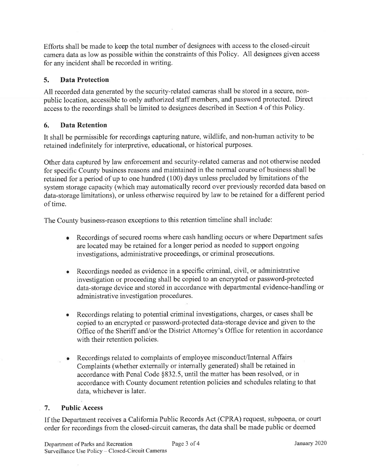Efforts shall be made to keep the total number of designees with access to the closed-circuit camera data as low as possible within the constraints of this Policy. All designees given access for any incident shall be recorded in writing.

## 5. Data Protection

All recorded data generated by the security-related cameras shall be stored in a secure, nonpublic location, accessible to only authorized staff members, and password protected. Direct access to the recordings shall be limited to designees described in Section 4 of this Policy.

## 6. Data Retention

It shall be permissible for recordings capturing nature, wildlife, and non-human activity to be retained indefinitely for interpretive, educational, or historical purposes.

Other data captured by law enforcement and security-related cameras and not otherwise needed for specific County business reasons and maintained in the normal course of business shall be retained for a period of up to one hundred (100) days unless precluded by limitations of the system storage capacity (which may automatically record over previously recorded data based on data-storage limitations), or unless otherwise required by law to be retained for a different period of time.

The County business-reason exceptions to this retention timeline shall include:

- Recordings of secured rooms where cash handling occurs or where Department safes are located may be retained for a longer period as needed to support ongoing investigations, administrative proceedings, or criminal prosecutions.  $\bullet$
- Recordings needed as evidence in a specific criminal, civil, or administrative investigation or proceeding shall be copied to an encrypted or password-protected data-storage device and stored in accordance with departmental evidence-handling or administrative investigation procedures. a
- <sup>a</sup> Recordings relating to potential criminal investigations, charges, or cases shall be copied to an encrypted or password-protected data-storage device and given to the Office of the Sheriff and/or the District Attomey's Office for retention in accordance with their retention policies.
- Recordings related to complaints of employee misconduct/Internal Affairs Complaints (whether externally or intemally generated) shall be retained in accordance with Penal Code \$832.5, until the matter has been resolved, or in accordance with County document retention policies and schedules relating to that data, whichever is later. o

## 7. Public Access

If the Department receives a Califomia Public Records Act (CPRA) request, subpoena, or court order for recordings from the closed-circuit cameras, the data shall be made public or deemed